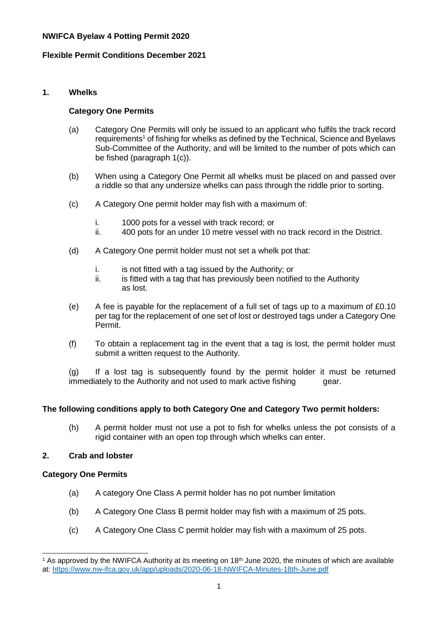#### **NWIFCA Byelaw 4 Potting Permit 2020**

#### **Flexible Permit Conditions December 2021**

## **1. Whelks**

#### **Category One Permits**

- (a) Category One Permits will only be issued to an applicant who fulfils the track record requirements<sup>1</sup> of fishing for whelks as defined by the Technical, Science and Byelaws Sub-Committee of the Authority, and will be limited to the number of pots which can be fished (paragraph 1(c)).
- (b) When using a Category One Permit all whelks must be placed on and passed over a riddle so that any undersize whelks can pass through the riddle prior to sorting.
- (c) A Category One permit holder may fish with a maximum of:
	- i. 1000 pots for a vessel with track record; or
	- ii. 400 pots for an under 10 metre vessel with no track record in the District.
- (d) A Category One permit holder must not set a whelk pot that:
	- i. is not fitted with a tag issued by the Authority; or
	- ii. is fitted with a tag that has previously been notified to the Authority as lost.
- (e) A fee is payable for the replacement of a full set of tags up to a maximum of £0.10 per tag for the replacement of one set of lost or destroyed tags under a Category One Permit.
- (f) To obtain a replacement tag in the event that a tag is lost, the permit holder must submit a written request to the Authority.

(g) If a lost tag is subsequently found by the permit holder it must be returned immediately to the Authority and not used to mark active fishing gear.

#### **The following conditions apply to both Category One and Category Two permit holders:**

(h) A permit holder must not use a pot to fish for whelks unless the pot consists of a rigid container with an open top through which whelks can enter.

#### **2. Crab and lobster**

#### **Category One Permits**

l

- (a) A category One Class A permit holder has no pot number limitation
- (b) A Category One Class B permit holder may fish with a maximum of 25 pots.
- (c) A Category One Class C permit holder may fish with a maximum of 25 pots.

<sup>&</sup>lt;sup>1</sup> As approved by the NWIFCA Authority at its meeting on  $18<sup>th</sup>$  June 2020, the minutes of which are available at:<https://www.nw-ifca.gov.uk/app/uploads/2020-06-18-NWIFCA-Minutes-18th-June.pdf>